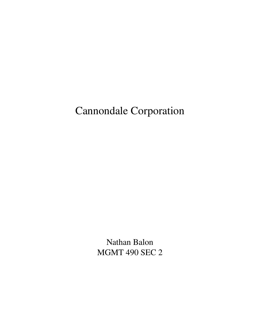# Cannondale Corporation

Nathan Balon MGMT 490 SEC 2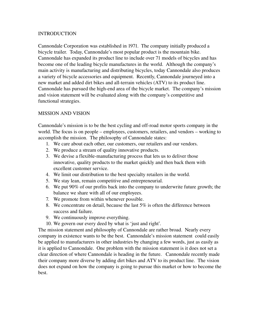## **INTRODUCTION**

Cannondale Corporation was established in 1971. The company initially produced a bicycle trailer. Today, Cannondale's most popular product is the mountain bike. Cannondale has expanded its product line to include over 71 models of bicycles and has become one of the leading bicycle manufactures in the world. Although the company's main activity is manufacturing and distributing bicycles, today Cannondale also produces a variety of bicycle accessories and equipment. Recently, Cannondale journeyed into a new market and added dirt bikes and all-terrain vehicles (ATV) to its product line. Cannondale has pursued the high-end area of the bicycle market. The company's mission and vision statement will be evaluated along with the company's competitive and functional strategies.

# MISSION AND VISION

Cannondale's mission is to be the best cycling and off-road motor sports company in the world. The focus is on people – employees, customers, retailers, and vendors – working to accomplish the mission. The philosophy of Cannondale states:

- 1. We care about each other, our customers, our retailers and our vendors.
- 2. We produce a stream of quality innovative products.
- 3. We devise a flexible-manufacturing process that lets us to deliver those innovative, quality products to the market quickly and then back them with excellent customer service.
- 4. We limit our distribution to the best specialty retailers in the world.
- 5. We stay lean, remain competitive and entrepreneurial.
- 6. We put 90% of our profits back into the company to underwrite future growth; the balance we share with all of our employees.
- 7. We promote from within whenever possible.
- 8. We concentrate on detail, because the last 5% is often the difference between success and failure.
- 9. We continuously improve everything.
- 10. We govern our every deed by what is 'just and right'.

The mission statement and philosophy of Cannondale are rather broad. Nearly every company in existence wants to be the best. Cannondale's mission statement could easily be applied to manufacturers in other industries by changing a few words, just as easily as it is applied to Cannondale. One problem with the mission statement is it does not set a clear direction of where Cannondale is heading in the future. Cannondale recently made their company more diverse by adding dirt bikes and ATV to its product line. The vision does not expand on how the company is going to pursue this market or how to become the best.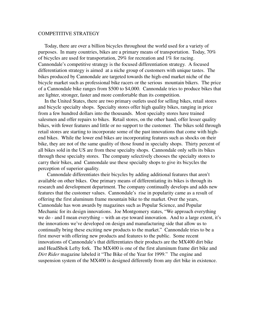### COMPETITIVE STRATEGY

 Today, there are over a billion bicycles throughout the world used for a variety of purposes. In many countries, bikes are a primary means of transportation. Today, 70% of bicycles are used for transportation, 29% for recreation and 1% for racing. Cannondale's competitive strategy is the focused differentiation strategy. A focused differentiation strategy is aimed at a niche group of customers with unique tastes. The bikes produced by Cannondale are targeted towards the high-end market niche of the bicycle market such as professional bike racers or the serious mountain bikers. The price of a Cannondale bike ranges from \$500 to \$4,000. Cannondale tries to produce bikes that are lighter, stronger, faster and more comfortable than its competition.

 In the United States, there are two primary outlets used for selling bikes, retail stores and bicycle specialty shops. Specialty stores offer high quality bikes, ranging in price from a few hundred dollars into the thousands. Most specialty stores have trained salesmen and offer repairs to bikes. Retail stores, on the other hand, offer lesser quality bikes, with fewer features and little or no support to the customer. The bikes sold through retail stores are starting to incorporate some of the past innovations that come with highend bikes. While the lower end bikes are incorporating features such as shocks on their bike, they are not of the same quality of those found in specialty shops. Thirty percent of all bikes sold in the US are from these specialty shops. Cannondale only sells its bikes through these specialty stores. The company selectively chooses the specialty stores to carry their bikes, and Cannondale use these specialty shops to give its bicycles the perception of superior quality.

 Cannondale differentiates their bicycles by adding additional features that aren't available on other bikes. One primary means of differentiating its bikes is through its research and development department. The company continually develops and adds new features that the customer values. Cannondale's rise in popularity came as a result of offering the first aluminum frame mountain bike to the market. Over the years, Cannondale has won awards by magazines such as Popular Science, and Popular Mechanic for its design innovations. Joe Montgomery states, "We approach everything we do - and I mean everything – with an eye toward innovation. And to a large extent, it's the innovations we've developed on design and manufacturing side that allow us to continually bring these exciting new products to the market." Cannondale tries to be a first mover with offering new products and features to the public. Some recent innovations of Cannondale's that differentiates their products are the MX400 dirt bike and HeadShok Lefty fork. The MX400 is one of the first aluminum frame dirt bike and *Dirt Rider* magazine labeled it "The Bike of the Year for 1999." The engine and suspension system of the MX400 is designed differently from any dirt bike in existence.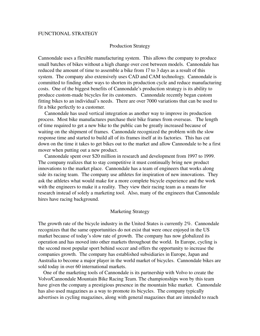## FUNCTIONAL STRATEGY

#### Production Strategy

Cannondale uses a flexible manufacturing system. This allows the company to produce small batches of bikes without a high change over cost between models. Cannondale has reduced the amount of time to assemble a bike from 17 to 3 days as a result of this system. The company also extensively uses CAD and CAM technology. Cannondale is committed to finding other ways to shorten its production cycle and reduce manufacturing costs. One of the biggest benefits of Cannondale's production strategy is its ability to produce custom-made bicycles for its customers. Cannondale recently began custom fitting bikes to an individual's needs. There are over 7000 variations that can be used to fit a bike perfectly to a customer.

 Cannondale has used vertical integration as another way to improve its production process. Most bike manufactures purchase their bike frames from overseas. The length of time required to get a new bike to the public can be greatly increased because of waiting on the shipment of frames. Cannondale recognized the problem with the slow response time and started to build all of its frames itself at its factories. This has cut down on the time it takes to get bikes out to the market and allow Cannondale to be a first mover when putting out a new product.

 Cannondale spent over \$20 million in research and development from 1997 to 1999. The company realizes that to stay competitive it must continually bring new product innovations to the market place. Cannondale has a team of engineers that works along side its racing team. The company use athletes for inspiration of new innovations. They ask the athletes what would make for a more complete bicycle experience and the work with the engineers to make it a reality. They view their racing team as a means for research instead of solely a marketing tool. Also, many of the engineers that Cannondale hires have racing background.

#### Marketing Strategy

The growth rate of the bicycle industry in the United States is currently 2%. Cannondale recognizes that the same opportunities do not exist that were once enjoyed in the US market because of today's slow rate of growth. The company has now globalized its operation and has moved into other markets throughout the world. In Europe, cycling is the second most popular sport behind soccer and offers the opportunity to increase the companies growth. The company has established subsidiaries in Europe, Japan and Australia to become a major player in the world market of bicycles. Cannondale bikes are sold today in over 60 international markets.

 One of the marketing tools of Cannondale is its partnership with Volvo to create the Volvo/Cannondale Mountain Bike Racing Team. The championships won by this team have given the company a prestigious presence in the mountain bike market. Cannondale has also used magazines as a way to promote its bicycles. The company typically advertises in cycling magazines, along with general magazines that are intended to reach